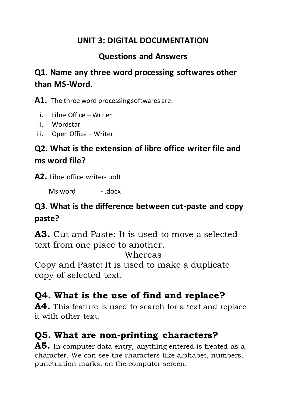#### **UNIT 3: DIGITAL DOCUMENTATION**

#### **Questions and Answers**

## **Q1. Name any three word processing softwares other than MS-Word.**

**A1.** The three word processing softwares are:

- i. Libre Office Writer
- ii. Wordstar
- iii. Open Office Writer

# **Q2. What is the extension of libre office writer file and ms word file?**

**A2.** Libre office writer- .odt

Ms word - .docx

#### **Q3. What is the difference between cut-paste and copy paste?**

**A3.** Cut and Paste: It is used to move a selected text from one place to another.

Whereas

Copy and Paste: It is used to make a duplicate copy of selected text.

# **Q4. What is the use of find and replace?**

**A4.** This feature is used to search for a text and replace it with other text.

# **Q5. What are non-printing characters?**

**A5.** In computer data entry, anything entered is treated as a character. We can see the characters like alphabet, numbers, punctuation marks, on the computer screen.